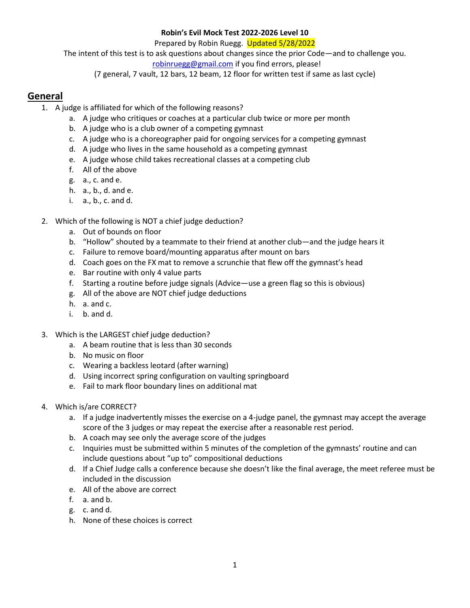#### **Robin's Evil Mock Test 2022-2026 Level 10**

Prepared by Robin Ruegg. Updated 5/28/2022

The intent of this test is to ask questions about changes since the prior Code—and to challenge you.

 [robinruegg@gmail.com](mailto:robinruegg@gmail.com) if you find errors, please!

(7 general, 7 vault, 12 bars, 12 beam, 12 floor for written test if same as last cycle)

# **General**

- 1. A judge is affiliated for which of the following reasons?
	- a. A judge who critiques or coaches at a particular club twice or more per month
	- b. A judge who is a club owner of a competing gymnast
	- c. A judge who is a choreographer paid for ongoing services for a competing gymnast
	- d. A judge who lives in the same household as a competing gymnast
	- e. A judge whose child takes recreational classes at a competing club
	- f. All of the above
	- g. a., c. and e.
	- h. a., b., d. and e.
	- i. a., b., c. and d.
- 2. Which of the following is NOT a chief judge deduction?
	- a. Out of bounds on floor
	- b. "Hollow" shouted by a teammate to their friend at another club—and the judge hears it
	- c. Failure to remove board/mounting apparatus after mount on bars
	- d. Coach goes on the FX mat to remove a scrunchie that flew off the gymnast's head
	- e. Bar routine with only 4 value parts
	- f. Starting a routine before judge signals (Advice—use a green flag so this is obvious)
	- g. All of the above are NOT chief judge deductions
	- h. a. and c.
	- i. b. and d.
- 3. Which is the LARGEST chief judge deduction?
	- a. A beam routine that is less than 30 seconds
	- b. No music on floor
	- c. Wearing a backless leotard (after warning)
	- d. Using incorrect spring configuration on vaulting springboard
	- e. Fail to mark floor boundary lines on additional mat
- 4. Which is/are CORRECT?
	- a. If a judge inadvertently misses the exercise on a 4-judge panel, the gymnast may accept the average score of the 3 judges or may repeat the exercise after a reasonable rest period.
	- b. A coach may see only the average score of the judges
	- c. Inquiries must be submitted within 5 minutes of the completion of the gymnasts' routine and can include questions about "up to" compositional deductions
	- d. If a Chief Judge calls a conference because she doesn't like the final average, the meet referee must be included in the discussion
	- e. All of the above are correct
	- f. a. and b.
	- g. c. and d.
	- h. None of these choices is correct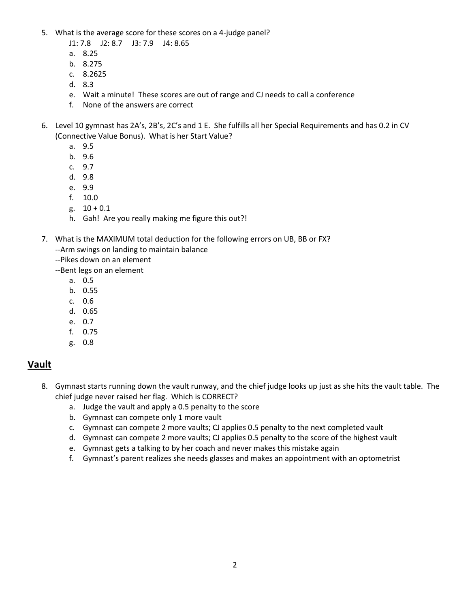5. What is the average score for these scores on a 4-judge panel?

J1: 7.8 J2: 8.7 J3: 7.9 J4: 8.65

- a. 8.25
- b. 8.275
- c. 8.2625
- d. 8.3
- e. Wait a minute! These scores are out of range and CJ needs to call a conference
- f. None of the answers are correct
- 6. Level 10 gymnast has 2A's, 2B's, 2C's and 1 E. She fulfills all her Special Requirements and has 0.2 in CV (Connective Value Bonus). What is her Start Value?
	- a. 9.5
	- b. 9.6
	- c. 9.7
	- d. 9.8
	- e. 9.9
	- f. 10.0
	- g.  $10 + 0.1$
	- h. Gah! Are you really making me figure this out?!
- 7. What is the MAXIMUM total deduction for the following errors on UB, BB or FX? --Arm swings on landing to maintain balance
	- --Pikes down on an element
	- --Bent legs on an element
		- a. 0.5
		- b. 0.55
		- c. 0.6
		- d. 0.65
		- e. 0.7
		- f. 0.75
		- g. 0.8

# **Vault**

- 8. Gymnast starts running down the vault runway, and the chief judge looks up just as she hits the vault table. The chief judge never raised her flag. Which is CORRECT?
	- a. Judge the vault and apply a 0.5 penalty to the score
	- b. Gymnast can compete only 1 more vault
	- c. Gymnast can compete 2 more vaults; CJ applies 0.5 penalty to the next completed vault
	- d. Gymnast can compete 2 more vaults; CJ applies 0.5 penalty to the score of the highest vault
	- e. Gymnast gets a talking to by her coach and never makes this mistake again
	- f. Gymnast's parent realizes she needs glasses and makes an appointment with an optometrist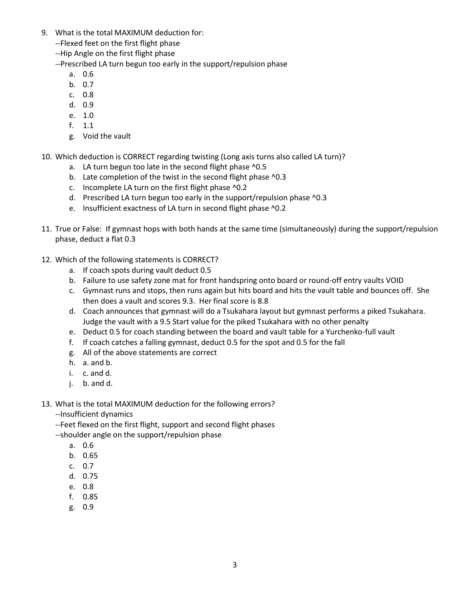- 9. What is the total MAXIMUM deduction for:
	- --Flexed feet on the first flight phase
	- --Hip Angle on the first flight phase

--Prescribed LA turn begun too early in the support/repulsion phase

- a. 0.6
- b. 0.7
- c. 0.8
- d. 0.9
- e. 1.0
- f. 1.1
- g. Void the vault
- 10. Which deduction is CORRECT regarding twisting (Long axis turns also called LA turn)?
	- a. LA turn begun too late in the second flight phase ^0.5
	- b. Late completion of the twist in the second flight phase ^0.3
	- c. Incomplete LA turn on the first flight phase ^0.2
	- d. Prescribed LA turn begun too early in the support/repulsion phase ^0.3
	- e. Insufficient exactness of LA turn in second flight phase ^0.2
- 11. True or False: If gymnast hops with both hands at the same time (simultaneously) during the support/repulsion phase, deduct a flat 0.3
- 12. Which of the following statements is CORRECT?
	- a. If coach spots during vault deduct 0.5
	- b. Failure to use safety zone mat for front handspring onto board or round-off entry vaults VOID
	- c. Gymnast runs and stops, then runs again but hits board and hits the vault table and bounces off. She then does a vault and scores 9.3. Her final score is 8.8
	- d. Coach announces that gymnast will do a Tsukahara layout but gymnast performs a piked Tsukahara. Judge the vault with a 9.5 Start value for the piked Tsukahara with no other penalty
	- e. Deduct 0.5 for coach standing between the board and vault table for a Yurchenko-full vault
	- f. If coach catches a falling gymnast, deduct 0.5 for the spot and 0.5 for the fall
	- g. All of the above statements are correct
	- h. a. and b.
	- i. c. and d.
	- j. b. and d.
- 13. What is the total MAXIMUM deduction for the following errors?
	- --Insufficient dynamics

--Feet flexed on the first flight, support and second flight phases

- --shoulder angle on the support/repulsion phase
	- a. 0.6
	- b. 0.65
	- c. 0.7
	- d. 0.75
	- e. 0.8
	- f. 0.85
	- g. 0.9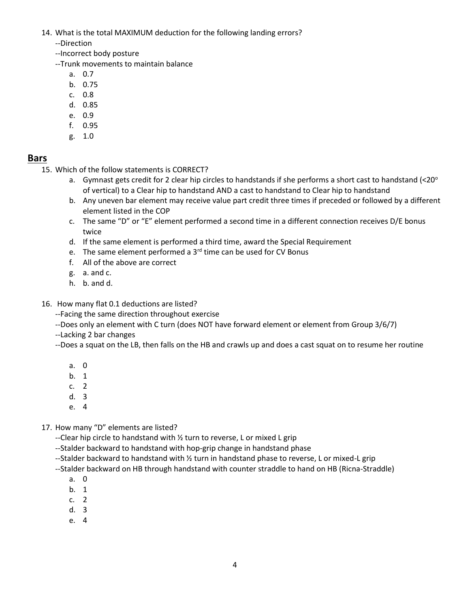14. What is the total MAXIMUM deduction for the following landing errors?

--Direction

--Incorrect body posture

--Trunk movements to maintain balance

- a. 0.7
- b. 0.75
- c. 0.8
- d. 0.85
- e. 0.9
- f. 0.95
- g. 1.0

# **Bars**

15. Which of the follow statements is CORRECT?

- a. Gymnast gets credit for 2 clear hip circles to handstands if she performs a short cast to handstand (<20 $^{\circ}$ ) of vertical) to a Clear hip to handstand AND a cast to handstand to Clear hip to handstand
- b. Any uneven bar element may receive value part credit three times if preceded or followed by a different element listed in the COP
- c. The same "D" or "E" element performed a second time in a different connection receives D/E bonus twice
- d. If the same element is performed a third time, award the Special Requirement
- e. The same element performed a  $3<sup>rd</sup>$  time can be used for CV Bonus
- f. All of the above are correct
- g. a. and c.
- h. b. and d.
- 16. How many flat 0.1 deductions are listed?

--Facing the same direction throughout exercise

--Does only an element with C turn (does NOT have forward element or element from Group 3/6/7)

--Lacking 2 bar changes

--Does a squat on the LB, then falls on the HB and crawls up and does a cast squat on to resume her routine

- a. 0
- b. 1
- c. 2
- d. 3
- e. 4
- 17. How many "D" elements are listed?

--Clear hip circle to handstand with ½ turn to reverse, L or mixed L grip

- --Stalder backward to handstand with hop-grip change in handstand phase
- --Stalder backward to handstand with ½ turn in handstand phase to reverse, L or mixed-L grip
- --Stalder backward on HB through handstand with counter straddle to hand on HB (Ricna-Straddle)
	- a. 0
	- b. 1
	- c. 2
	- d. 3
	- e. 4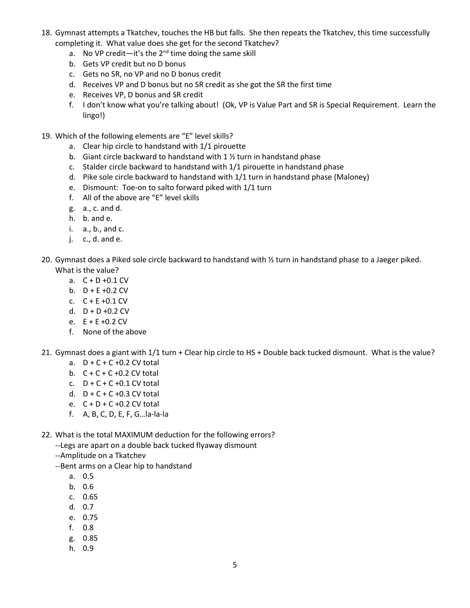- 18. Gymnast attempts a Tkatchev, touches the HB but falls. She then repeats the Tkatchev, this time successfully completing it. What value does she get for the second Tkatchev?
	- a. No VP credit—it's the  $2^{nd}$  time doing the same skill
	- b. Gets VP credit but no D bonus
	- c. Gets no SR, no VP and no D bonus credit
	- d. Receives VP and D bonus but no SR credit as she got the SR the first time
	- e. Receives VP, D bonus and SR credit
	- f. I don't know what you're talking about! (Ok, VP is Value Part and SR is Special Requirement. Learn the lingo!)
- 19. Which of the following elements are "E" level skills?
	- a. Clear hip circle to handstand with 1/1 pirouette
	- b. Giant circle backward to handstand with  $1\frac{1}{2}$  turn in handstand phase
	- c. Stalder circle backward to handstand with 1/1 pirouette in handstand phase
	- d. Pike sole circle backward to handstand with 1/1 turn in handstand phase (Maloney)
	- e. Dismount: Toe-on to salto forward piked with 1/1 turn
	- f. All of the above are "E" level skills
	- g. a., c. and d.
	- h. b. and e.
	- i. a., b., and c.
	- $j.$  c., d. and e.
- 20. Gymnast does a Piked sole circle backward to handstand with ½ turn in handstand phase to a Jaeger piked. What is the value?
	- a. C + D +0.1 CV
	- b.  $D + E + 0.2$  CV
	- c. C + E +0.1 CV
	- d.  $D + D + 0.2$  CV
	- e.  $E + E + 0.2$  CV
	- f. None of the above
- 21. Gymnast does a giant with 1/1 turn + Clear hip circle to HS + Double back tucked dismount. What is the value?
	- a.  $D + C + C + 0.2$  CV total
	- b.  $C + C + C + 0.2$  CV total
	- c.  $D + C + C + 0.1$  CV total
	- d.  $D + C + C + 0.3$  CV total
	- e.  $C + D + C + 0.2$  CV total
	- f. A, B, C, D, E, F, G…la-la-la
- 22. What is the total MAXIMUM deduction for the following errors?
	- --Legs are apart on a double back tucked flyaway dismount
	- --Amplitude on a Tkatchev
	- --Bent arms on a Clear hip to handstand
		- a. 0.5
		- b. 0.6
		- c. 0.65
		- d. 0.7
		- e. 0.75
		- f. 0.8
		- g. 0.85
		- h. 0.9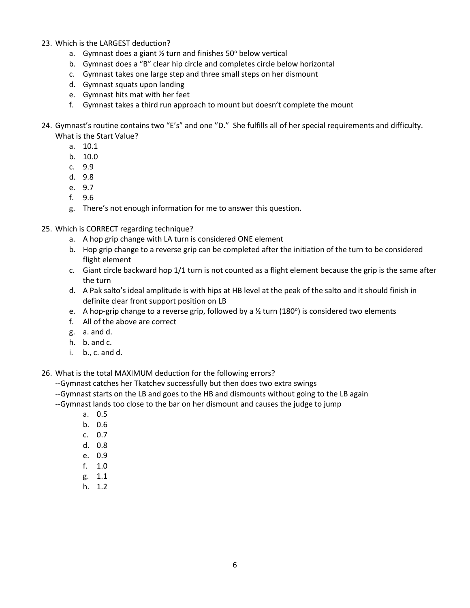#### 23. Which is the LARGEST deduction?

- a. Gymnast does a giant  $\frac{1}{2}$  turn and finishes 50° below vertical
- b. Gymnast does a "B" clear hip circle and completes circle below horizontal
- c. Gymnast takes one large step and three small steps on her dismount
- d. Gymnast squats upon landing
- e. Gymnast hits mat with her feet
- f. Gymnast takes a third run approach to mount but doesn't complete the mount
- 24. Gymnast's routine contains two "E's" and one "D." She fulfills all of her special requirements and difficulty. What is the Start Value?
	- a. 10.1
	- b. 10.0
	- c. 9.9
	- d. 9.8
	- e. 9.7
	- f. 9.6
	- g. There's not enough information for me to answer this question.
- 25. Which is CORRECT regarding technique?
	- a. A hop grip change with LA turn is considered ONE element
	- b. Hop grip change to a reverse grip can be completed after the initiation of the turn to be considered flight element
	- c. Giant circle backward hop 1/1 turn is not counted as a flight element because the grip is the same after the turn
	- d. A Pak salto's ideal amplitude is with hips at HB level at the peak of the salto and it should finish in definite clear front support position on LB
	- e. A hop-grip change to a reverse grip, followed by a  $\frac{1}{2}$  turn (180°) is considered two elements
	- f. All of the above are correct
	- g. a. and d.
	- h. b. and c.
	- i. b., c. and d.

26. What is the total MAXIMUM deduction for the following errors?

--Gymnast catches her Tkatchev successfully but then does two extra swings

--Gymnast starts on the LB and goes to the HB and dismounts without going to the LB again

--Gymnast lands too close to the bar on her dismount and causes the judge to jump

- a. 0.5
- b. 0.6
- c. 0.7
- d. 0.8
- e. 0.9
- f. 1.0
- g. 1.1
- h. 1.2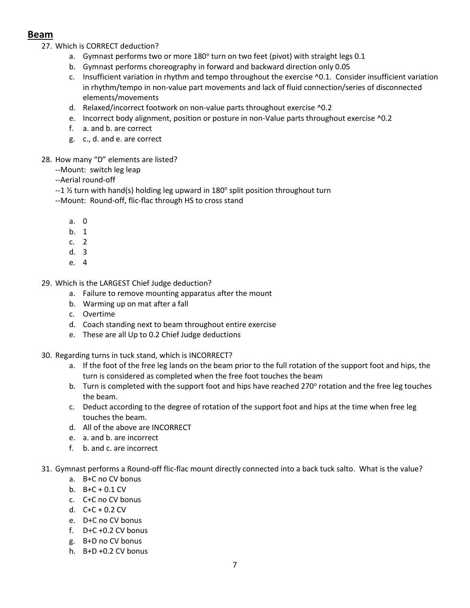# **Beam**

27. Which is CORRECT deduction?

- a. Gymnast performs two or more 180 $^{\circ}$  turn on two feet (pivot) with straight legs 0.1
- b. Gymnast performs choreography in forward and backward direction only 0.05
- c. Insufficient variation in rhythm and tempo throughout the exercise ^0.1. Consider insufficient variation in rhythm/tempo in non-value part movements and lack of fluid connection/series of disconnected elements/movements
- d. Relaxed/incorrect footwork on non-value parts throughout exercise ^0.2
- e. Incorrect body alignment, position or posture in non-Value parts throughout exercise ^0.2
- f. a. and b. are correct
- g. c., d. and e. are correct
- 28. How many "D" elements are listed?
	- --Mount: switch leg leap

--Aerial round-off

- --1  $\frac{1}{2}$  turn with hand(s) holding leg upward in 180° split position throughout turn
- --Mount: Round-off, flic-flac through HS to cross stand
	- a. 0
	- b. 1
	- c. 2
	- d. 3
	- e. 4
- 29. Which is the LARGEST Chief Judge deduction?
	- a. Failure to remove mounting apparatus after the mount
	- b. Warming up on mat after a fall
	- c. Overtime
	- d. Coach standing next to beam throughout entire exercise
	- e. These are all Up to 0.2 Chief Judge deductions
- 30. Regarding turns in tuck stand, which is INCORRECT?
	- a. If the foot of the free leg lands on the beam prior to the full rotation of the support foot and hips, the turn is considered as completed when the free foot touches the beam
	- b. Turn is completed with the support foot and hips have reached 270° rotation and the free leg touches the beam.
	- c. Deduct according to the degree of rotation of the support foot and hips at the time when free leg touches the beam.
	- d. All of the above are INCORRECT
	- e. a. and b. are incorrect
	- f. b. and c. are incorrect
- 31. Gymnast performs a Round-off flic-flac mount directly connected into a back tuck salto. What is the value?
	- a. B+C no CV bonus
	- b.  $B+C + 0.1 CV$
	- c. C+C no CV bonus
	- d.  $C+C + 0.2 CV$
	- e. D+C no CV bonus
	- f.  $D+C + 0.2$  CV bonus
	- g. B+D no CV bonus
	- h. B+D +0.2 CV bonus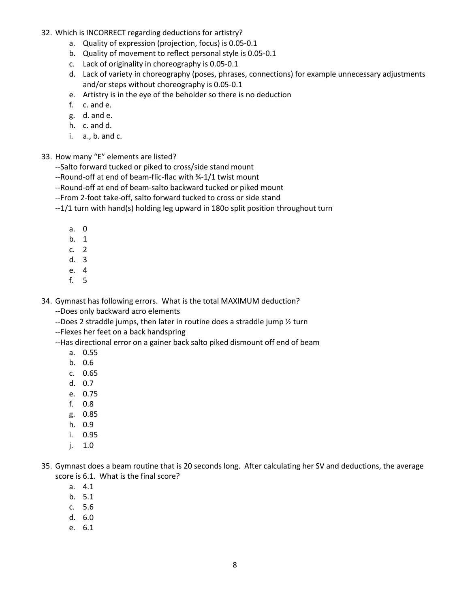- 32. Which is INCORRECT regarding deductions for artistry?
	- a. Quality of expression (projection, focus) is 0.05-0.1
	- b. Quality of movement to reflect personal style is 0.05-0.1
	- c. Lack of originality in choreography is 0.05-0.1
	- d. Lack of variety in choreography (poses, phrases, connections) for example unnecessary adjustments and/or steps without choreography is 0.05-0.1
	- e. Artistry is in the eye of the beholder so there is no deduction
	- f. c. and e.
	- g. d. and e.
	- h. c. and d.
	- i. a., b. and c.
- 33. How many "E" elements are listed?
	- --Salto forward tucked or piked to cross/side stand mount
	- --Round-off at end of beam-flic-flac with ¾-1/1 twist mount
	- --Round-off at end of beam-salto backward tucked or piked mount
	- --From 2-foot take-off, salto forward tucked to cross or side stand
	- --1/1 turn with hand(s) holding leg upward in 180o split position throughout turn
		- a. 0
		- b. 1
		- c. 2
		- d. 3
		- e. 4
		- f. 5

34. Gymnast has following errors. What is the total MAXIMUM deduction? --Does only backward acro elements

- --Does 2 straddle jumps, then later in routine does a straddle jump ½ turn
- --Flexes her feet on a back handspring

--Has directional error on a gainer back salto piked dismount off end of beam

- a. 0.55
- b. 0.6
- c. 0.65
- d. 0.7
- e. 0.75
- f. 0.8
- g. 0.85
- h. 0.9
- i. 0.95
- j. 1.0
- 35. Gymnast does a beam routine that is 20 seconds long. After calculating her SV and deductions, the average score is 6.1. What is the final score?
	- a. 4.1
	- b. 5.1
	- c. 5.6
	- d. 6.0
	- e. 6.1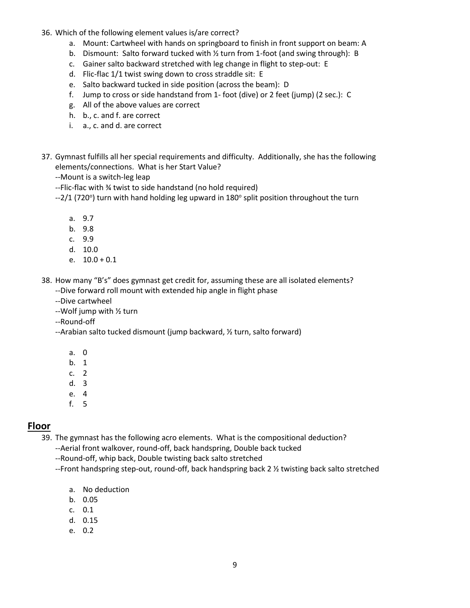- 36. Which of the following element values is/are correct?
	- a. Mount: Cartwheel with hands on springboard to finish in front support on beam: A
	- b. Dismount: Salto forward tucked with ½ turn from 1-foot (and swing through): B
	- c. Gainer salto backward stretched with leg change in flight to step-out: E
	- d. Flic-flac 1/1 twist swing down to cross straddle sit: E
	- e. Salto backward tucked in side position (across the beam): D
	- f. Jump to cross or side handstand from 1- foot (dive) or 2 feet (jump) (2 sec.): C
	- g. All of the above values are correct
	- h. b., c. and f. are correct
	- i. a., c. and d. are correct
- 37. Gymnast fulfills all her special requirements and difficulty. Additionally, she has the following elements/connections. What is her Start Value?

--Mount is a switch-leg leap

- --Flic-flac with ¾ twist to side handstand (no hold required)
- --2/1 (720°) turn with hand holding leg upward in 180° split position throughout the turn
	- a. 9.7
	- b. 9.8
	- c. 9.9
	- d. 10.0
	- e.  $10.0 + 0.1$
- 38. How many "B's" does gymnast get credit for, assuming these are all isolated elements?
	- --Dive forward roll mount with extended hip angle in flight phase
	- --Dive cartwheel
	- --Wolf jump with ½ turn
	- --Round-off
	- --Arabian salto tucked dismount (jump backward, ½ turn, salto forward)
		- a. 0
		- b. 1
		- c. 2
		- d. 3
		- e. 4
		- f. 5

### **Floor**

39. The gymnast has the following acro elements. What is the compositional deduction?

- --Aerial front walkover, round-off, back handspring, Double back tucked
- --Round-off, whip back, Double twisting back salto stretched
- --Front handspring step-out, round-off, back handspring back  $2 \frac{1}{2}$  twisting back salto stretched
	- a. No deduction
	- b. 0.05
	- c. 0.1
	- d. 0.15
	- e. 0.2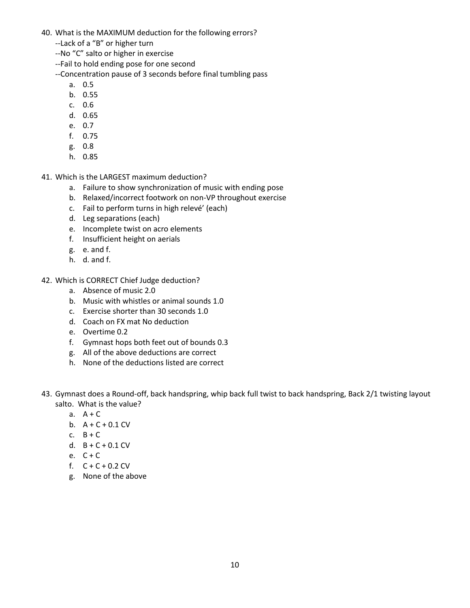- 40. What is the MAXIMUM deduction for the following errors?
	- --Lack of a "B" or higher turn
	- --No "C" salto or higher in exercise
	- --Fail to hold ending pose for one second

--Concentration pause of 3 seconds before final tumbling pass

- a. 0.5
- b. 0.55
- c. 0.6
- d. 0.65
- e. 0.7
- f. 0.75
- g. 0.8
- h. 0.85
- 41. Which is the LARGEST maximum deduction?
	- a. Failure to show synchronization of music with ending pose
	- b. Relaxed/incorrect footwork on non-VP throughout exercise
	- c. Fail to perform turns in high relevé' (each)
	- d. Leg separations (each)
	- e. Incomplete twist on acro elements
	- f. Insufficient height on aerials
	- g. e. and f.
	- h. d. and f.
- 42. Which is CORRECT Chief Judge deduction?
	- a. Absence of music 2.0
	- b. Music with whistles or animal sounds 1.0
	- c. Exercise shorter than 30 seconds 1.0
	- d. Coach on FX mat No deduction
	- e. Overtime 0.2
	- f. Gymnast hops both feet out of bounds 0.3
	- g. All of the above deductions are correct
	- h. None of the deductions listed are correct
- 43. Gymnast does a Round-off, back handspring, whip back full twist to back handspring, Back 2/1 twisting layout salto. What is the value?
	- a.  $A + C$
	- b.  $A + C + 0.1$  CV
	- c.  $B + C$
	- d.  $B + C + 0.1$  CV
	- e.  $C + C$
	- f.  $C + C + 0.2$  CV
	- g. None of the above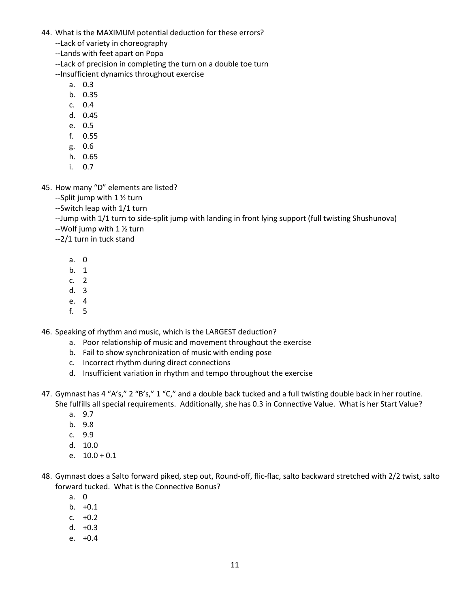- 44. What is the MAXIMUM potential deduction for these errors?
	- --Lack of variety in choreography
	- --Lands with feet apart on Popa

--Lack of precision in completing the turn on a double toe turn

--Insufficient dynamics throughout exercise

- a. 0.3
- b. 0.35
- c. 0.4
- d. 0.45
- e. 0.5
- f. 0.55
- g. 0.6
- h. 0.65
- i. 0.7
- 45. How many "D" elements are listed?
	- --Split jump with 1 ½ turn
	- --Switch leap with 1/1 turn
	- --Jump with 1/1 turn to side-split jump with landing in front lying support (full twisting Shushunova)
	- --Wolf jump with 1 ½ turn
	- --2/1 turn in tuck stand
		- a. 0
		- b. 1
		- c. 2
		- d. 3
		- e. 4
		- f. 5

46. Speaking of rhythm and music, which is the LARGEST deduction?

- a. Poor relationship of music and movement throughout the exercise
- b. Fail to show synchronization of music with ending pose
- c. Incorrect rhythm during direct connections
- d. Insufficient variation in rhythm and tempo throughout the exercise
- 47. Gymnast has 4 "A's," 2 "B's," 1 "C," and a double back tucked and a full twisting double back in her routine. She fulfills all special requirements. Additionally, she has 0.3 in Connective Value. What is her Start Value?
	- a. 9.7
	- b. 9.8
	- c. 9.9
	- d. 10.0
	- e.  $10.0 + 0.1$
- 48. Gymnast does a Salto forward piked, step out, Round-off, flic-flac, salto backward stretched with 2/2 twist, salto forward tucked. What is the Connective Bonus?
	- a. 0
	- b. +0.1
	- c. +0.2
	- d. +0.3
	- e. +0.4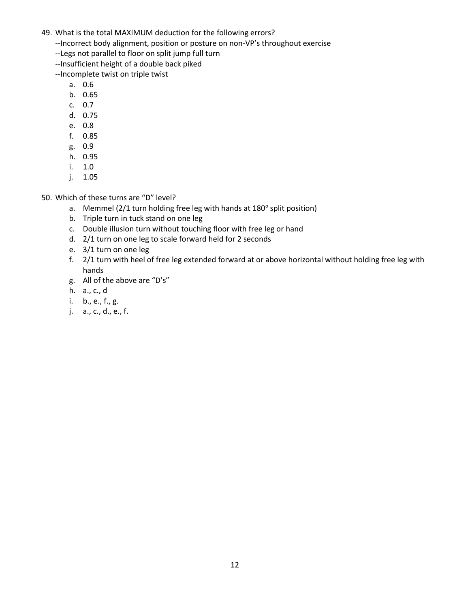- 49. What is the total MAXIMUM deduction for the following errors?
	- --Incorrect body alignment, position or posture on non-VP's throughout exercise
	- --Legs not parallel to floor on split jump full turn
	- --Insufficient height of a double back piked
	- --Incomplete twist on triple twist
		- a. 0.6
		- b. 0.65
		- c. 0.7
		- d. 0.75
		- e. 0.8
		- f. 0.85
		- g. 0.9
		- h. 0.95
		- i. 1.0
		- j. 1.05

50. Which of these turns are "D" level?

- a. Memmel (2/1 turn holding free leg with hands at 180° split position)
- b. Triple turn in tuck stand on one leg
- c. Double illusion turn without touching floor with free leg or hand
- d. 2/1 turn on one leg to scale forward held for 2 seconds
- e. 3/1 turn on one leg
- f. 2/1 turn with heel of free leg extended forward at or above horizontal without holding free leg with hands
- g. All of the above are "D's"
- h. a., c., d
- i. b., e., f., g.
- j. a., c., d., e., f.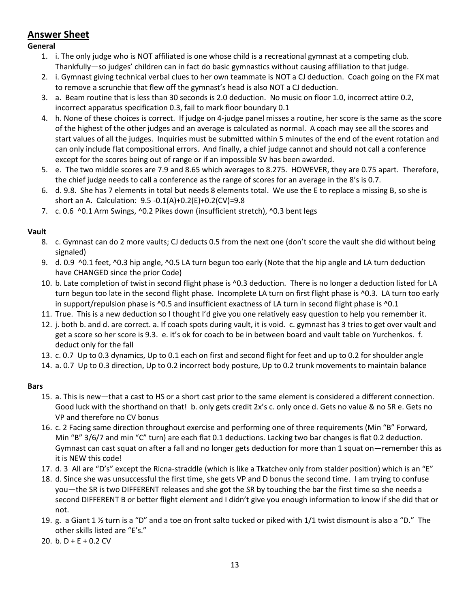# **Answer Sheet**

### **General**

- 1. i. The only judge who is NOT affiliated is one whose child is a recreational gymnast at a competing club. Thankfully—so judges' children can in fact do basic gymnastics without causing affiliation to that judge.
- 2. i. Gymnast giving technical verbal clues to her own teammate is NOT a CJ deduction. Coach going on the FX mat to remove a scrunchie that flew off the gymnast's head is also NOT a CJ deduction.
- 3. a. Beam routine that is less than 30 seconds is 2.0 deduction. No music on floor 1.0, incorrect attire 0.2, incorrect apparatus specification 0.3, fail to mark floor boundary 0.1
- 4. h. None of these choices is correct. If judge on 4-judge panel misses a routine, her score is the same as the score of the highest of the other judges and an average is calculated as normal. A coach may see all the scores and start values of all the judges. Inquiries must be submitted within 5 minutes of the end of the event rotation and can only include flat compositional errors. And finally, a chief judge cannot and should not call a conference except for the scores being out of range or if an impossible SV has been awarded.
- 5. e. The two middle scores are 7.9 and 8.65 which averages to 8.275. HOWEVER, they are 0.75 apart. Therefore, the chief judge needs to call a conference as the range of scores for an average in the 8's is 0.7.
- 6. d. 9.8. She has 7 elements in total but needs 8 elements total. We use the E to replace a missing B, so she is short an A. Calculation: 9.5 -0.1(A)+0.2(E)+0.2(CV)=9.8
- 7. c. 0.6 ^0.1 Arm Swings, ^0.2 Pikes down (insufficient stretch), ^0.3 bent legs

### **Vault**

- 8. c. Gymnast can do 2 more vaults; CJ deducts 0.5 from the next one (don't score the vault she did without being signaled)
- 9. d. 0.9 ^0.1 feet, ^0.3 hip angle, ^0.5 LA turn begun too early (Note that the hip angle and LA turn deduction have CHANGED since the prior Code)
- 10. b. Late completion of twist in second flight phase is ^0.3 deduction. There is no longer a deduction listed for LA turn begun too late in the second flight phase. Incomplete LA turn on first flight phase is ^0.3. LA turn too early in support/repulsion phase is ^0.5 and insufficient exactness of LA turn in second flight phase is ^0.1
- 11. True. This is a new deduction so I thought I'd give you one relatively easy question to help you remember it.
- 12. j. both b. and d. are correct. a. If coach spots during vault, it is void. c. gymnast has 3 tries to get over vault and get a score so her score is 9.3. e. it's ok for coach to be in between board and vault table on Yurchenkos. f. deduct only for the fall
- 13. c. 0.7 Up to 0.3 dynamics, Up to 0.1 each on first and second flight for feet and up to 0.2 for shoulder angle
- 14. a. 0.7 Up to 0.3 direction, Up to 0.2 incorrect body posture, Up to 0.2 trunk movements to maintain balance

### **Bars**

- 15. a. This is new—that a cast to HS or a short cast prior to the same element is considered a different connection. Good luck with the shorthand on that! b. only gets credit 2x's c. only once d. Gets no value & no SR e. Gets no VP and therefore no CV bonus
- 16. c. 2 Facing same direction throughout exercise and performing one of three requirements (Min "B" Forward, Min "B" 3/6/7 and min "C" turn) are each flat 0.1 deductions. Lacking two bar changes is flat 0.2 deduction. Gymnast can cast squat on after a fall and no longer gets deduction for more than 1 squat on—remember this as it is NEW this code!
- 17. d. 3 All are "D's" except the Ricna-straddle (which is like a Tkatchev only from stalder position) which is an "E"
- 18. d. Since she was unsuccessful the first time, she gets VP and D bonus the second time. I am trying to confuse you—the SR is two DIFFERENT releases and she got the SR by touching the bar the first time so she needs a second DIFFERENT B or better flight element and I didn't give you enough information to know if she did that or not.
- 19. g. a Giant 1 ½ turn is a "D" and a toe on front salto tucked or piked with 1/1 twist dismount is also a "D." The other skills listed are "E's."
- 20. b. D + E + 0.2 CV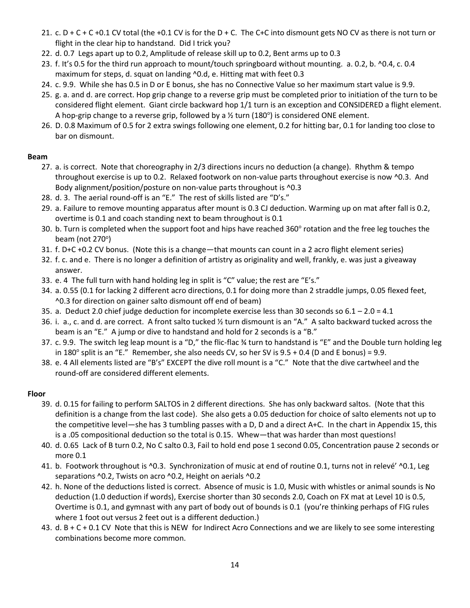- 21. c.  $D + C + C + 0.1$  CV total (the  $+0.1$  CV is for the  $D + C$ . The C+C into dismount gets NO CV as there is not turn or flight in the clear hip to handstand. Did I trick you?
- 22. d. 0.7 Legs apart up to 0.2, Amplitude of release skill up to 0.2, Bent arms up to 0.3
- 23. f. It's 0.5 for the third run approach to mount/touch springboard without mounting. a. 0.2, b. ^0.4, c. 0.4 maximum for steps, d. squat on landing ^0.d, e. Hitting mat with feet 0.3
- 24. c. 9.9. While she has 0.5 in D or E bonus, she has no Connective Value so her maximum start value is 9.9.
- 25. g. a. and d. are correct. Hop grip change to a reverse grip must be completed prior to initiation of the turn to be considered flight element. Giant circle backward hop 1/1 turn is an exception and CONSIDERED a flight element. A hop-grip change to a reverse grip, followed by a  $\frac{1}{2}$  turn (180°) is considered ONE element.
- 26. D. 0.8 Maximum of 0.5 for 2 extra swings following one element, 0.2 for hitting bar, 0.1 for landing too close to bar on dismount.

### **Beam**

- 27. a. is correct. Note that choreography in 2/3 directions incurs no deduction (a change). Rhythm & tempo throughout exercise is up to 0.2. Relaxed footwork on non-value parts throughout exercise is now ^0.3. And Body alignment/position/posture on non-value parts throughout is ^0.3
- 28. d. 3. The aerial round-off is an "E." The rest of skills listed are "D's."
- 29. a. Failure to remove mounting apparatus after mount is 0.3 CJ deduction. Warming up on mat after fall is 0.2, overtime is 0.1 and coach standing next to beam throughout is 0.1
- 30. b. Turn is completed when the support foot and hips have reached 360° rotation and the free leg touches the beam (not 270°)
- 31. f. D+C +0.2 CV bonus. (Note this is a change—that mounts can count in a 2 acro flight element series)
- 32. f. c. and e. There is no longer a definition of artistry as originality and well, frankly, e. was just a giveaway answer.
- 33. e. 4 The full turn with hand holding leg in split is "C" value; the rest are "E's."
- 34. a. 0.55 (0.1 for lacking 2 different acro directions, 0.1 for doing more than 2 straddle jumps, 0.05 flexed feet, ^0.3 for direction on gainer salto dismount off end of beam)
- 35. a. Deduct 2.0 chief judge deduction for incomplete exercise less than 30 seconds so 6.1 2.0 = 4.1
- 36. i. a., c. and d. are correct. A front salto tucked ½ turn dismount is an "A." A salto backward tucked across the beam is an "E." A jump or dive to handstand and hold for 2 seconds is a "B."
- 37. c. 9.9. The switch leg leap mount is a "D," the flic-flac ¾ turn to handstand is "E" and the Double turn holding leg in 180 $^{\circ}$  split is an "E." Remember, she also needs CV, so her SV is 9.5 + 0.4 (D and E bonus) = 9.9.
- 38. e. 4 All elements listed are "B's" EXCEPT the dive roll mount is a "C." Note that the dive cartwheel and the round-off are considered different elements.

### **Floor**

- 39. d. 0.15 for failing to perform SALTOS in 2 different directions. She has only backward saltos. (Note that this definition is a change from the last code). She also gets a 0.05 deduction for choice of salto elements not up to the competitive level—she has 3 tumbling passes with a D, D and a direct A+C. In the chart in Appendix 15, this is a .05 compositional deduction so the total is 0.15. Whew—that was harder than most questions!
- 40. d. 0.65 Lack of B turn 0.2, No C salto 0.3, Fail to hold end pose 1 second 0.05, Concentration pause 2 seconds or more 0.1
- 41. b. Footwork throughout is ^0.3. Synchronization of music at end of routine 0.1, turns not in relevé' ^0.1, Leg separations ^0.2, Twists on acro ^0.2, Height on aerials ^0.2
- 42. h. None of the deductions listed is correct. Absence of music is 1.0, Music with whistles or animal sounds is No deduction (1.0 deduction if words), Exercise shorter than 30 seconds 2.0, Coach on FX mat at Level 10 is 0.5, Overtime is 0.1, and gymnast with any part of body out of bounds is 0.1 (you're thinking perhaps of FIG rules where 1 foot out versus 2 feet out is a different deduction.)
- 43. d. B + C + 0.1 CV Note that this is NEW for Indirect Acro Connections and we are likely to see some interesting combinations become more common.